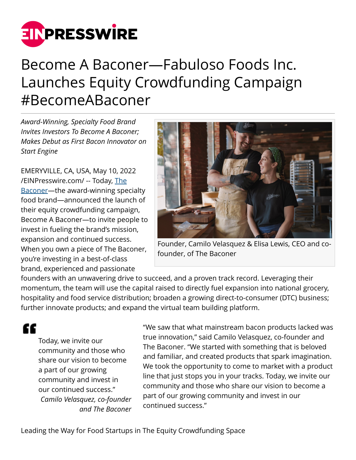

# Become A Baconer—Fabuloso Foods Inc. Launches Equity Crowdfunding Campaign #BecomeABaconer

*Award-Winning, Specialty Food Brand Invites Investors To Become A Baconer; Makes Debut as First Bacon Innovator on Start Engine*

EMERYVILLE, CA, USA, May 10, 2022 [/EINPresswire.com/](http://www.einpresswire.com) -- Today, [The](http://www.thebaconer.com) [Baconer](http://www.thebaconer.com)—the award-winning specialty food brand—announced the launch of their equity crowdfunding campaign, Become A Baconer—to invite people to invest in fueling the brand's mission, expansion and continued success. When you own a piece of The Baconer, you're investing in a best-of-class brand, experienced and passionate



Founder, Camilo Velasquez & Elisa Lewis, CEO and cofounder, of The Baconer

founders with an unwavering drive to succeed, and a proven track record. Leveraging their momentum, the team will use the capital raised to directly fuel expansion into national grocery, hospitality and food service distribution; broaden a growing direct-to-consumer (DTC) business; further innovate products; and expand the virtual team building platform.

"

Today, we invite our community and those who share our vision to become a part of our growing community and invest in our continued success." *Camilo Velasquez, co-founder and The Baconer* "We saw that what mainstream bacon products lacked was true innovation," said Camilo Velasquez, co-founder and The Baconer. "We started with something that is beloved and familiar, and created products that spark imagination. We took the opportunity to come to market with a product line that just stops you in your tracks. Today, we invite our community and those who share our vision to become a part of our growing community and invest in our continued success."

Leading the Way for Food Startups in The Equity Crowdfunding Space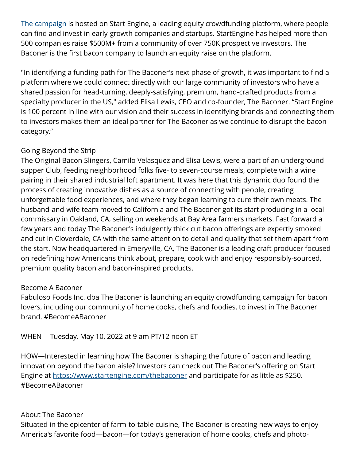[The campaign](https://www.startengine.com/thebaconer) is hosted on Start Engine, a leading equity crowdfunding platform, where people can find and invest in early-growth companies and startups. StartEngine has helped more than 500 companies raise \$500M+ from a community of over 750K prospective investors. The Baconer is the first bacon company to launch an equity raise on the platform.

"In identifying a funding path for The Baconer's next phase of growth, it was important to find a platform where we could connect directly with our large community of investors who have a shared passion for head-turning, deeply-satisfying, premium, hand-crafted products from a specialty producer in the US," added Elisa Lewis, CEO and co-founder, The Baconer. "Start Engine is 100 percent in line with our vision and their success in identifying brands and connecting them to investors makes them an ideal partner for The Baconer as we continue to disrupt the bacon category."

## Going Beyond the Strip

The Original Bacon Slingers, Camilo Velasquez and Elisa Lewis, were a part of an underground supper Club, feeding neighborhood folks five- to seven-course meals, complete with a wine pairing in their shared industrial loft apartment. It was here that this dynamic duo found the process of creating innovative dishes as a source of connecting with people, creating unforgettable food experiences, and where they began learning to cure their own meats. The husband-and-wife team moved to California and The Baconer got its start producing in a local commissary in Oakland, CA, selling on weekends at Bay Area farmers markets. Fast forward a few years and today The Baconer's indulgently thick cut bacon offerings are expertly smoked and cut in Cloverdale, CA with the same attention to detail and quality that set them apart from the start. Now headquartered in Emeryville, CA, The Baconer is a leading craft producer focused on redefining how Americans think about, prepare, cook with and enjoy responsibly-sourced, premium quality bacon and bacon-inspired products.

### Become A Baconer

Fabuloso Foods Inc. dba The Baconer is launching an equity crowdfunding campaign for bacon lovers, including our community of home cooks, chefs and foodies, to invest in The Baconer brand. #BecomeABaconer

WHEN —Tuesday, May 10, 2022 at 9 am PT/12 noon ET

HOW—Interested in learning how The Baconer is shaping the future of bacon and leading innovation beyond the bacon aisle? Investors can check out The Baconer's offering on Start Engine at <https://www.startengine.com/thebaconer>and participate for as little as \$250. #BecomeABaconer

### About The Baconer

Situated in the epicenter of farm-to-table cuisine, The Baconer is creating new ways to enjoy America's favorite food—bacon—for today's generation of home cooks, chefs and photo